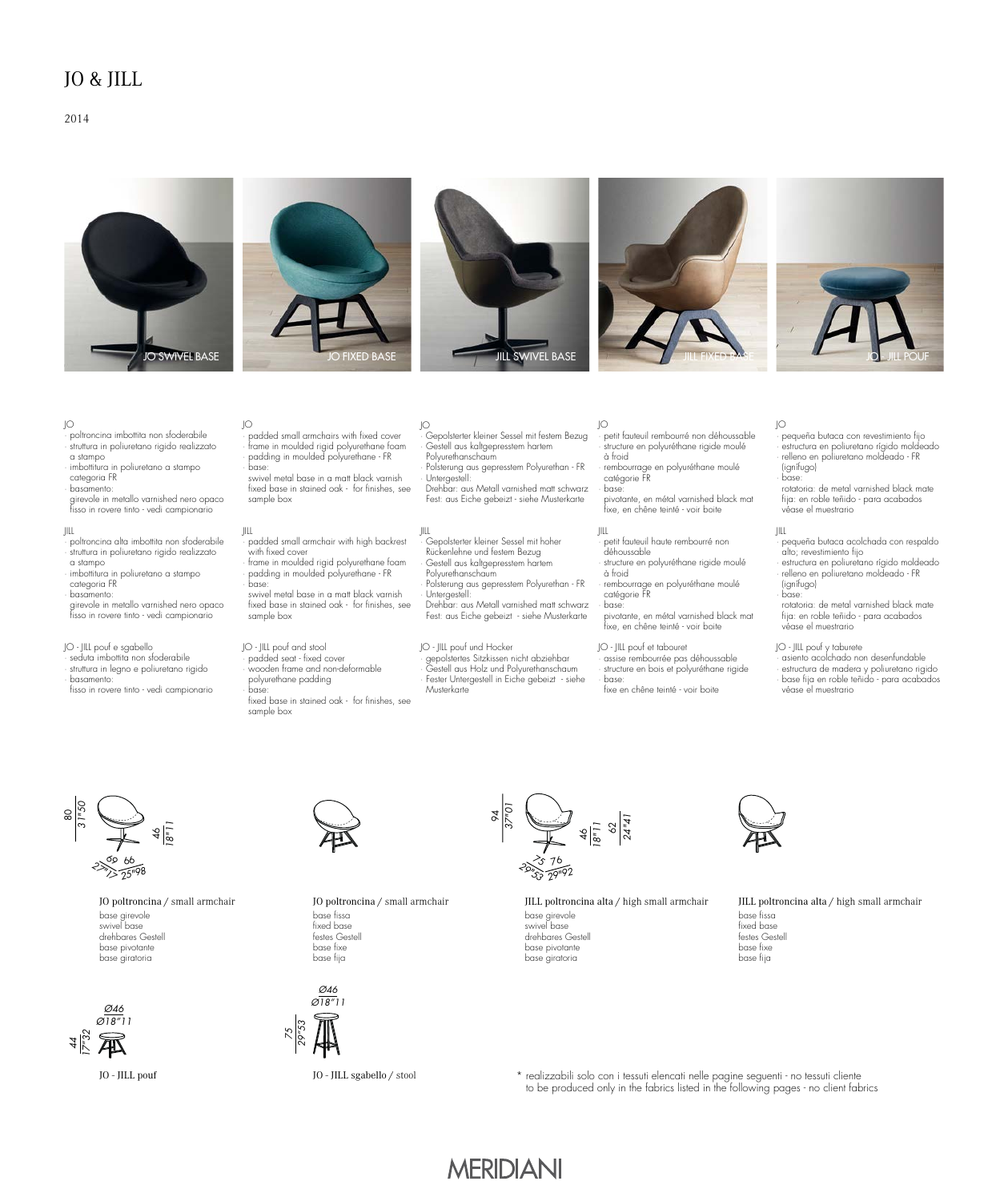## JO & JILL

### 2014





· padded small armchairs with fixed cover · frame in moulded rigid polyurethane foam · padding in moulded polyurethane - FR

 swivel metal base in a matt black varnish fixed base in stained oak - for finishes, see

· padded small armchair with high backrest

· frame in moulded rigid polyurethane foam · padding in moulded polyurethane - FR

 swivel metal base in a matt black varnish fixed base in stained oak - for finishes, see







#### JO

- · poltroncina imbottita non sfoderabile · struttura in poliuretano rigido realizzato
- a stampo
- · imbottitura in poliuretano a stampo categoria FR
- · basamento:
- 
- girevole in metallo varnished nero opaco fisso in rovere tinto vedi campionario

#### JILL

- · poltroncina alta imbottita non sfoderabile · struttura in poliuretano rigido realizzato
- a stampo · imbottitura in poliuretano a stampo
- categoria FR
- · basamento:
- girevole in metallo varnished nero opaco fisso in rovere tinto - vedi campionario

- JO JILL pouf e sgabello · seduta imbottita non sfoderabile
- · struttura in legno e poliuretano rigido
- · basamento: fisso in rovere tinto - vedi campionario
- · wooden frame and non-deformable polyurethane padding

JO

JILL

· base:

sample box

JO - JILL pouf and stool · padded seat - fixed cover

· base:

sample box

with fixed cover

· base: fixed base in stained oak - for finishes, see sample box

· Gepolsterter kleiner Sessel mit festem Bezug Gestell aus kaltgepresstem hartem Polyurethanschaum Polsterung aus gepresstem Polyurethan - FR · Untergestell:

JO

 Drehbar: aus Metall varnished matt schwarz Fest: aus Eiche gebeizt - siehe Musterkarte

#### JILL · Gepolsterter kleiner Sessel mit hoher Rückenlehne und festem Bezug Gestell aus kaltgepresstem hartem

- Polyurethanschaum Polsterung aus gepresstem Polyurethan - FR
- · Untergestell:
- Fest: aus Eiche gebeizt siehe Musterkarte
- · gepolstertes Sitzkissen nicht abziehbar · Gestell aus Holz und Polyurethanschaum Fester Untergestell in Eiche gebeizt - siehe Musterkarte

94

- JO · petit fauteuil rembourré non déhoussable · structure en polyuréthane rigide moulé à froid
- · rembourrage en polyuréthane moulé catégorie FR · base:

pivotante, en métal varnished black mat<br>fixe, en chêne teinté - voir boite

- déhoussable · structure en polyuréthane rigide moulé
- · rembourrage en polyuréthane moulé catégorie FR
- base:
	-
- · assise rembourrée pas déhoussable structure en bois et polyuréthane rigide · base: fixe en chêne teinté - voir boite

#### JO

· pequeña butaca con revestimiento fijo · estructura en poliuretano rígido moldeado · relleno en poliuretano moldeado - FR (ignífugo) · base:

 rotatoria: de metal varnished black mate fija: en roble teñido - para acabados véase el muestrario

### JILL

· pequeña butaca acolchada con respaldo alto; revestimiento fijo · estructura en poliuretano rígido moldeado · relleno en poliuretano moldeado - FR

 (ignífugo) · base:

- rotatoria: de metal varnished black mate fija: en roble teñido - para acabados véase el muestrario
- JO JILL pouf y taburete · asiento acolchado non desenfundable · estructura de madera y poliuretano rigido · base fija en roble teñido - para acabados véase el muestrario

#### री *18"11* 66 σo *25"98 27"17* 80 *31"50*

base girevole swivel base drehbares Gestell base pivotante base giratoria





JO poltroncina / small armchair base fissa fixed base festes Gestell base fixe



*75*

base fija

*37"01* 76  $\frac{46}{18^{11}}$ <br> $\frac{62}{24^{14}}$  $\mathcal{E}_{\mathcal{S}}$ *29"92 29"53*

#### JO poltroncina / small armchair JILL poltroncina alta / high small armchair base girevole swivel base drehbares Gestell base pivotante base giratoria



#### JILL poltroncina alta / high small armchair base fissa fixed base festes Gestell base fixe base fija

JO - JILL sgabello / stool \* realizzabili solo con i tessuti elencati nelle pagine seguenti - no tessuti cliente to be produced only in the fabrics listed in the following pages - no client fabrics

# **MERIDIANI**

JILL à froid

Drehbar: aus Metall varnished matt schwarz

# JO - JILL pouf und Hocker

· petit fauteuil haute rembourré non

 pivotante, en métal varnished black mat fixe, en chêne teinté - voir boite

# JO - JILL pouf et tabouret